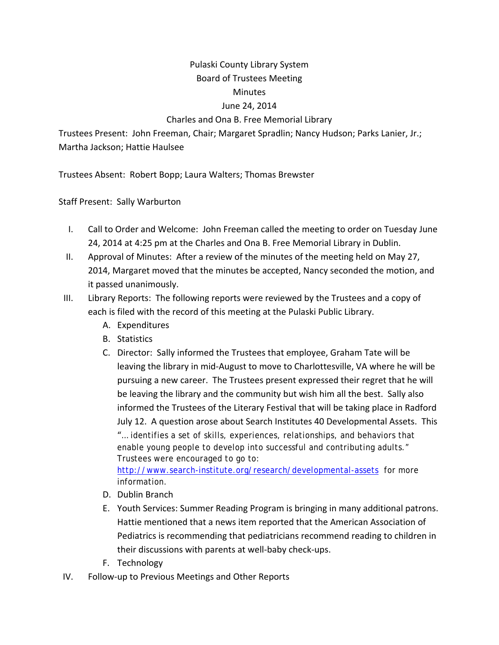## Pulaski County Library System Board of Trustees Meeting **Minutes**

## June 24, 2014

## Charles and Ona B. Free Memorial Library

Trustees Present: John Freeman, Chair; Margaret Spradlin; Nancy Hudson; Parks Lanier, Jr.; Martha Jackson; Hattie Haulsee

Trustees Absent: Robert Bopp; Laura Walters; Thomas Brewster

Staff Present: Sally Warburton

- I. Call to Order and Welcome: John Freeman called the meeting to order on Tuesday June 24, 2014 at 4:25 pm at the Charles and Ona B. Free Memorial Library in Dublin.
- II. Approval of Minutes: After a review of the minutes of the meeting held on May 27, 2014, Margaret moved that the minutes be accepted, Nancy seconded the motion, and it passed unanimously.
- III. Library Reports: The following reports were reviewed by the Trustees and a copy of each is filed with the record of this meeting at the Pulaski Public Library.
	- A. Expenditures
	- B. Statistics
	- C. Director: Sally informed the Trustees that employee, Graham Tate will be leaving the library in mid‐August to move to Charlottesville, VA where he will be pursuing a new career. The Trustees present expressed their regret that he will be leaving the library and the community but wish him all the best. Sally also informed the Trustees of the Literary Festival that will be taking place in Radford July 12. A question arose about Search Institutes 40 Developmental Assets. This "… identifies a set of skills, experiences, relationships, and behaviors that enable young people to develop into successful and contributing adults." Trustees were encouraged to go to: http://www.search-institute.org/research/developmental-assets for more

information.

- D. Dublin Branch
- E. Youth Services: Summer Reading Program is bringing in many additional patrons. Hattie mentioned that a news item reported that the American Association of Pediatrics is recommending that pediatricians recommend reading to children in their discussions with parents at well‐baby check‐ups.
- F. Technology
- IV. Follow‐up to Previous Meetings and Other Reports